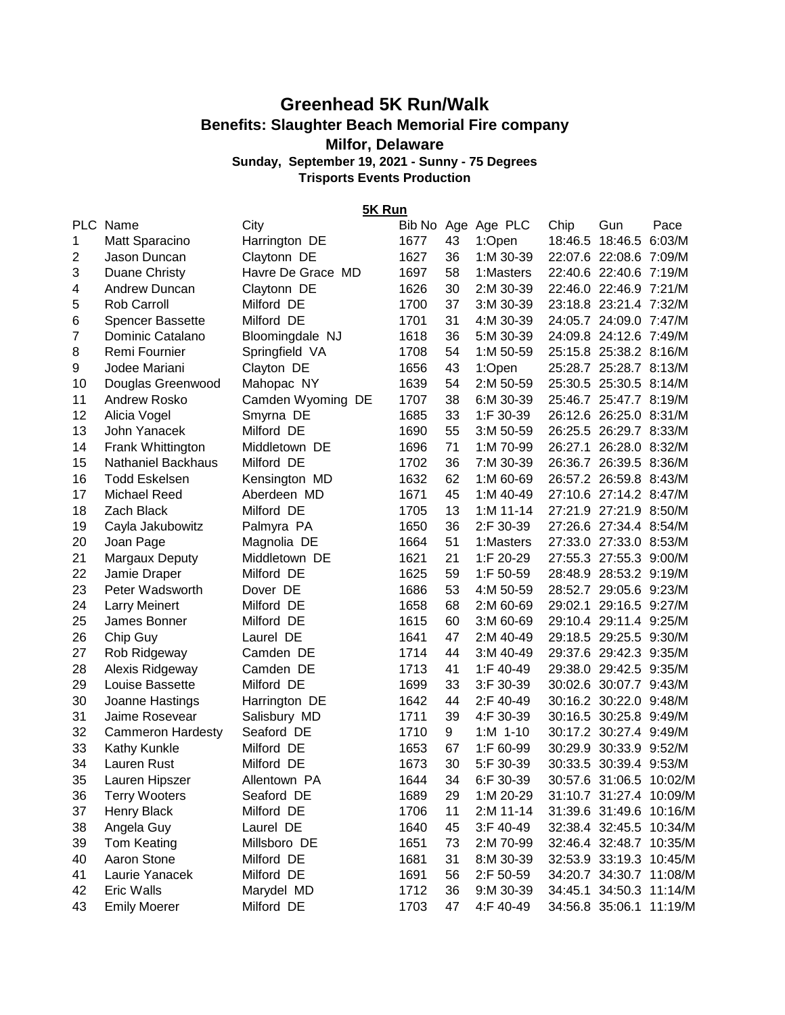## **Greenhead 5K Run/Walk Benefits: Slaughter Beach Memorial Fire company**

## **Milfor, Delaware**

**Sunday, September 19, 2021 - Sunny - 75 Degrees Trisports Events Production**

**5K Run**

| <b>PLC</b>     | Name                     | City              |      |    | Bib No Age Age PLC | Chip | Gun                     | Pace |
|----------------|--------------------------|-------------------|------|----|--------------------|------|-------------------------|------|
| 1              | Matt Sparacino           | Harrington DE     | 1677 | 43 | 1:Open             |      | 18:46.5 18:46.5 6:03/M  |      |
| $\overline{2}$ | Jason Duncan             | Claytonn DE       | 1627 | 36 | 1:M 30-39          |      | 22:07.6 22:08.6 7:09/M  |      |
| 3              | Duane Christy            | Havre De Grace MD | 1697 | 58 | 1:Masters          |      | 22:40.6 22:40.6 7:19/M  |      |
| 4              | Andrew Duncan            | Claytonn DE       | 1626 | 30 | 2:M 30-39          |      | 22:46.0 22:46.9 7:21/M  |      |
| 5              | <b>Rob Carroll</b>       | Milford DE        | 1700 | 37 | 3:M 30-39          |      | 23:18.8 23:21.4 7:32/M  |      |
| 6              | <b>Spencer Bassette</b>  | Milford DE        | 1701 | 31 | 4:M 30-39          |      | 24:05.7 24:09.0 7:47/M  |      |
| 7              | Dominic Catalano         | Bloomingdale NJ   | 1618 | 36 | 5:M 30-39          |      | 24:09.8 24:12.6 7:49/M  |      |
| 8              | Remi Fournier            | Springfield VA    | 1708 | 54 | 1:M 50-59          |      | 25:15.8 25:38.2 8:16/M  |      |
| 9              | Jodee Mariani            | Clayton DE        | 1656 | 43 | 1:Open             |      | 25:28.7 25:28.7 8:13/M  |      |
| 10             | Douglas Greenwood        | Mahopac NY        | 1639 | 54 | 2:M 50-59          |      | 25:30.5 25:30.5 8:14/M  |      |
| 11             | Andrew Rosko             | Camden Wyoming DE | 1707 | 38 | 6:M 30-39          |      | 25:46.7 25:47.7 8:19/M  |      |
| 12             | Alicia Vogel             | Smyrna DE         | 1685 | 33 | 1:F 30-39          |      | 26:12.6 26:25.0 8:31/M  |      |
| 13             | John Yanacek             | Milford DE        | 1690 | 55 | $3: M 50-59$       |      | 26:25.5 26:29.7 8:33/M  |      |
| 14             | Frank Whittington        | Middletown DE     | 1696 | 71 | 1:M 70-99          |      | 26:27.1 26:28.0 8:32/M  |      |
| 15             | Nathaniel Backhaus       | Milford DE        | 1702 | 36 | 7:M 30-39          |      | 26:36.7 26:39.5 8:36/M  |      |
| 16             | <b>Todd Eskelsen</b>     | Kensington MD     | 1632 | 62 | 1:M 60-69          |      | 26:57.2 26:59.8 8:43/M  |      |
| 17             | <b>Michael Reed</b>      | Aberdeen MD       | 1671 | 45 | 1:M 40-49          |      | 27:10.6 27:14.2 8:47/M  |      |
| 18             | Zach Black               | Milford DE        | 1705 | 13 | $1: M 11 - 14$     |      | 27:21.9 27:21.9 8:50/M  |      |
| 19             | Cayla Jakubowitz         | Palmyra PA        | 1650 | 36 | 2:F 30-39          |      | 27:26.6 27:34.4 8:54/M  |      |
| 20             | Joan Page                | Magnolia DE       | 1664 | 51 | 1:Masters          |      | 27:33.0 27:33.0 8:53/M  |      |
| 21             | Margaux Deputy           | Middletown DE     | 1621 | 21 | 1:F 20-29          |      | 27:55.3 27:55.3 9:00/M  |      |
| 22             | Jamie Draper             | Milford DE        | 1625 | 59 | 1:F 50-59          |      | 28:48.9 28:53.2 9:19/M  |      |
| 23             | Peter Wadsworth          | Dover DE          | 1686 | 53 | 4:M 50-59          |      | 28:52.7 29:05.6 9:23/M  |      |
| 24             | <b>Larry Meinert</b>     | Milford DE        | 1658 | 68 | 2:M 60-69          |      | 29:02.1 29:16.5 9:27/M  |      |
| 25             | James Bonner             | Milford DE        | 1615 | 60 | $3: M 60-69$       |      | 29:10.4 29:11.4 9:25/M  |      |
| 26             | Chip Guy                 | Laurel DE         | 1641 | 47 | 2:M 40-49          |      | 29:18.5 29:25.5 9:30/M  |      |
| 27             | Rob Ridgeway             | Camden DE         | 1714 | 44 | $3: M$ 40-49       |      | 29:37.6 29:42.3 9:35/M  |      |
| 28             | Alexis Ridgeway          | Camden DE         | 1713 | 41 | 1:F 40-49          |      | 29:38.0 29:42.5 9:35/M  |      |
| 29             | Louise Bassette          | Milford DE        | 1699 | 33 | $3:$ F 30-39       |      | 30:02.6 30:07.7 9:43/M  |      |
| 30             | Joanne Hastings          | Harrington DE     | 1642 | 44 | 2:F 40-49          |      | 30:16.2 30:22.0 9:48/M  |      |
| 31             | Jaime Rosevear           | Salisbury MD      | 1711 | 39 | 4:F 30-39          |      | 30:16.5 30:25.8 9:49/M  |      |
| 32             | <b>Cammeron Hardesty</b> | Seaford DE        | 1710 | 9  | $1: M$ 1-10        |      | 30:17.2 30:27.4 9:49/M  |      |
| 33             | <b>Kathy Kunkle</b>      | Milford DE        | 1653 | 67 | 1:F 60-99          |      | 30:29.9 30:33.9 9:52/M  |      |
| 34             | Lauren Rust              | Milford DE        | 1673 | 30 | 5:F 30-39          |      | 30:33.5 30:39.4 9:53/M  |      |
| 35             | Lauren Hipszer           | Allentown PA      | 1644 | 34 | 6:F 30-39          |      | 30:57.6 31:06.5 10:02/M |      |
| 36             | <b>Terry Wooters</b>     | Seaford DE        | 1689 | 29 | 1:M 20-29          |      | 31:10.7 31:27.4 10:09/M |      |
| 37             | <b>Henry Black</b>       | Milford DE        | 1706 | 11 | 2:M 11-14          |      | 31:39.6 31:49.6 10:16/M |      |
| 38             | Angela Guy               | Laurel DE         | 1640 | 45 | 3:F 40-49          |      | 32:38.4 32:45.5 10:34/M |      |
| 39             | <b>Tom Keating</b>       | Millsboro DE      | 1651 | 73 | 2:M 70-99          |      | 32:46.4 32:48.7 10:35/M |      |
| 40             | Aaron Stone              | Milford DE        | 1681 | 31 | 8:M 30-39          |      | 32:53.9 33:19.3 10:45/M |      |
| 41             | Laurie Yanacek           | Milford DE        | 1691 | 56 | 2:F 50-59          |      | 34:20.7 34:30.7 11:08/M |      |
| 42             | Eric Walls               | Marydel MD        | 1712 | 36 | 9:M 30-39          |      | 34:45.1 34:50.3 11:14/M |      |
| 43             | <b>Emily Moerer</b>      | Milford DE        | 1703 | 47 | 4:F 40-49          |      | 34:56.8 35:06.1 11:19/M |      |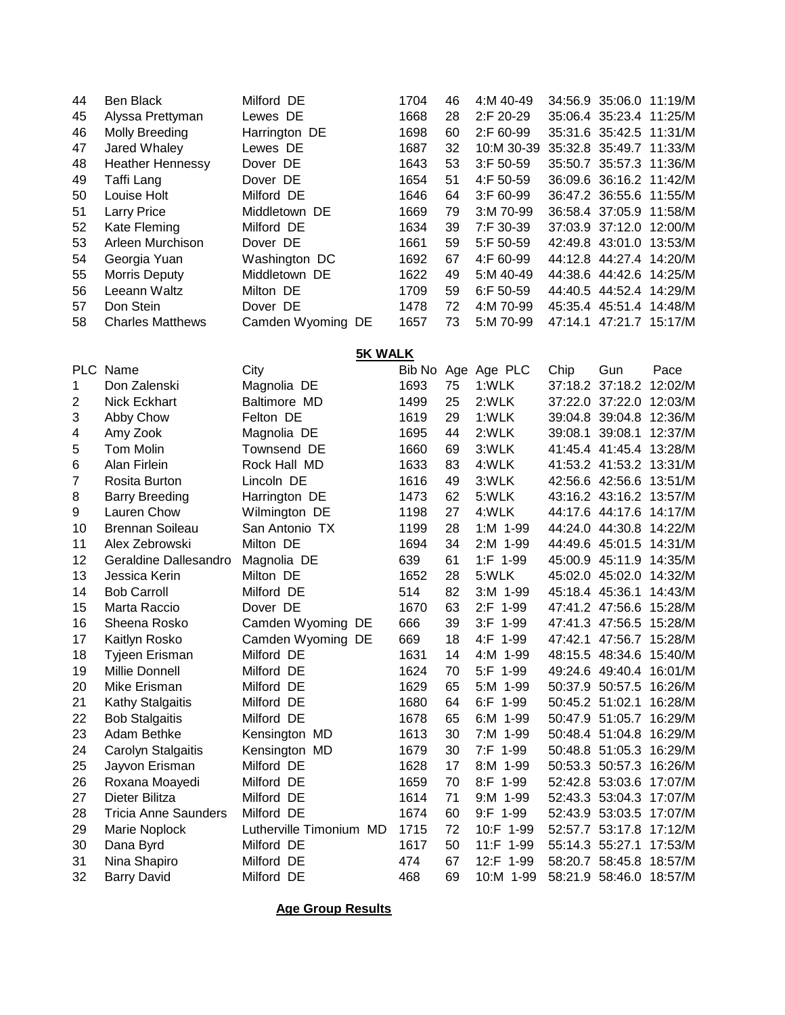| 44 | Ben Black               | Milford DE        | 1704 | 46 | 4:M 40-49    |         | 34:56.9 35:06.0 11:19/M |
|----|-------------------------|-------------------|------|----|--------------|---------|-------------------------|
| 45 | Alyssa Prettyman        | Lewes DE          | 1668 | 28 | 2:F 20-29    |         | 35:06.4 35:23.4 11:25/M |
| 46 | Molly Breeding          | Harrington DE     | 1698 | 60 | $2:$ F 60-99 |         | 35:31.6 35:42.5 11:31/M |
| 47 | Jared Whaley            | Lewes DE          | 1687 | 32 | 10:M 30-39   |         | 35:32.8 35:49.7 11:33/M |
| 48 | <b>Heather Hennessy</b> | Dover DE          | 1643 | 53 | $3:$ F 50-59 |         | 35:50.7 35:57.3 11:36/M |
| 49 | Taffi Lang              | Dover DE          | 1654 | 51 | $4:$ F 50-59 |         | 36:09.6 36:16.2 11:42/M |
| 50 | Louise Holt             | Milford DE        | 1646 | 64 | $3:$ F 60-99 |         | 36:47.2 36:55.6 11:55/M |
| 51 | <b>Larry Price</b>      | Middletown DE     | 1669 | 79 | $3: M$ 70-99 |         | 36:58.4 37:05.9 11:58/M |
| 52 | Kate Fleming            | Milford DE        | 1634 | 39 | $7:$ F 30-39 |         | 37:03.9 37:12.0 12:00/M |
| 53 | Arleen Murchison        | Dover DE          | 1661 | 59 | $5:$ F 50-59 |         | 42:49.8 43:01.0 13:53/M |
| 54 | Georgia Yuan            | Washington DC     | 1692 | 67 | $4:$ F 60-99 |         | 44:12.8 44:27.4 14:20/M |
| 55 | Morris Deputy           | Middletown DE     | 1622 | 49 | $5: M$ 40-49 |         | 44:38.6 44:42.6 14:25/M |
| 56 | Leeann Waltz            | Milton DE         | 1709 | 59 | $6:$ F 50-59 |         | 44:40.5 44:52.4 14:29/M |
| 57 | Don Stein               | Dover DE          | 1478 | 72 | 4:M 70-99    |         | 45:35.4 45:51.4 14:48/M |
| 58 | <b>Charles Matthews</b> | Camden Wyoming DE | 1657 | 73 | 5:M 70-99    | 47:14.1 | 47:21.7 15:17/M         |
|    |                         |                   |      |    |              |         |                         |

**5K WALK**

| <b>PLC</b> | Name                        | City                    | Bib No |    | Age Age PLC    | Chip            | Gun             | Pace                    |
|------------|-----------------------------|-------------------------|--------|----|----------------|-----------------|-----------------|-------------------------|
| 1          | Don Zalenski                | Magnolia DE             | 1693   | 75 | 1:WLK          |                 | 37:18.2 37:18.2 | 12:02/M                 |
| 2          | <b>Nick Eckhart</b>         | Baltimore MD            | 1499   | 25 | 2:WLK          |                 |                 | 37:22.0 37:22.0 12:03/M |
| 3          | Abby Chow                   | Felton DE               | 1619   | 29 | 1:WLK          |                 | 39:04.8 39:04.8 | 12:36/M                 |
| 4          | Amy Zook                    | Magnolia DE             | 1695   | 44 | 2:WLK          | 39:08.1         | 39:08.1         | 12:37/M                 |
| 5          | <b>Tom Molin</b>            | Townsend DE             | 1660   | 69 | 3:WLK          |                 |                 | 41:45.4 41:45.4 13:28/M |
| 6          | Alan Firlein                | Rock Hall MD            | 1633   | 83 | 4:WLK          |                 |                 | 41:53.2 41:53.2 13:31/M |
| 7          | Rosita Burton               | Lincoln DE              | 1616   | 49 | 3:WLK          |                 | 42:56.6 42:56.6 | 13:51/M                 |
| 8          | <b>Barry Breeding</b>       | Harrington DE           | 1473   | 62 | 5:WLK          |                 |                 | 43:16.2 43:16.2 13:57/M |
| 9          | Lauren Chow                 | Wilmington DE           | 1198   | 27 | 4:WLK          |                 |                 | 44:17.6 44:17.6 14:17/M |
| 10         | <b>Brennan Soileau</b>      | San Antonio TX          | 1199   | 28 | 1:M 1-99       |                 |                 | 44:24.0 44:30.8 14:22/M |
| 11         | Alex Zebrowski              | Milton DE               | 1694   | 34 | 2:M 1-99       |                 | 44:49.6 45:01.5 | 14:31/M                 |
| 12         | Geraldine Dallesandro       | Magnolia DE             | 639    | 61 | $1:$ F 1-99    |                 | 45:00.9 45:11.9 | 14:35/M                 |
| 13         | Jessica Kerin               | Milton DE               | 1652   | 28 | 5:WLK          |                 | 45:02.0 45:02.0 | 14:32/M                 |
| 14         | <b>Bob Carroll</b>          | Milford DE              | 514    | 82 | 3:M 1-99       | 45:18.4 45:36.1 |                 | 14:43/M                 |
| 15         | Marta Raccio                | Dover DE                | 1670   | 63 | 2:F 1-99       |                 | 47:41.2 47:56.6 | 15:28/M                 |
| 16         | Sheena Rosko                | Camden Wyoming DE       | 666    | 39 | $3:F$ 1-99     |                 | 47:41.3 47:56.5 | 15:28/M                 |
| 17         | Kaitlyn Rosko               | Camden Wyoming DE       | 669    | 18 | 4:F 1-99       |                 |                 | 47:42.1 47:56.7 15:28/M |
| 18         | Tyjeen Erisman              | Milford DE              | 1631   | 14 | 4:M<br>1-99    |                 | 48:15.5 48:34.6 | 15:40/M                 |
| 19         | Millie Donnell              | Milford DE              | 1624   | 70 | 5:F 1-99       |                 | 49:24.6 49:40.4 | 16:01/M                 |
| 20         | Mike Erisman                | Milford DE              | 1629   | 65 | 5:M 1-99       |                 | 50:37.9 50:57.5 | 16:26/M                 |
| 21         | <b>Kathy Stalgaitis</b>     | Milford DE              | 1680   | 64 | $6:$ F 1-99    | 50:45.2 51:02.1 |                 | 16:28/M                 |
| 22         | <b>Bob Stalgaitis</b>       | Milford DE              | 1678   | 65 | 6:M 1-99       |                 | 50:47.9 51:05.7 | 16:29/M                 |
| 23         | Adam Bethke                 | Kensington MD           | 1613   | 30 | 7:M 1-99       |                 | 50:48.4 51:04.8 | 16:29/M                 |
| 24         | Carolyn Stalgaitis          | Kensington MD           | 1679   | 30 | 7:F 1-99       |                 |                 | 50:48.8 51:05.3 16:29/M |
| 25         | Jayvon Erisman              | Milford DE              | 1628   | 17 | $8:$ M<br>1-99 |                 | 50:53.3 50:57.3 | 16:26/M                 |
| 26         | Roxana Moayedi              | Milford DE              | 1659   | 70 | 8:F 1-99       |                 | 52:42.8 53:03.6 | 17:07/M                 |
| 27         | Dieter Bilitza              | Milford DE              | 1614   | 71 | 9:M 1-99       |                 | 52:43.3 53:04.3 | 17:07/M                 |
| 28         | <b>Tricia Anne Saunders</b> | Milford DE              | 1674   | 60 | $9:F$ 1-99     |                 | 52:43.9 53:03.5 | 17:07/M                 |
| 29         | Marie Noplock               | Lutherville Timonium MD | 1715   | 72 | 1-99<br>10:F   |                 | 52:57.7 53:17.8 | 17:12/M                 |
| 30         | Dana Byrd                   | Milford DE              | 1617   | 50 | 11:F 1-99      | 55:14.3 55:27.1 |                 | 17:53/M                 |
| 31         | Nina Shapiro                | Milford DE              | 474    | 67 | 12:F 1-99      |                 | 58:20.7 58:45.8 | 18:57/M                 |
| 32         | <b>Barry David</b>          | Milford DE              | 468    | 69 | 10:M 1-99      |                 | 58:21.9 58:46.0 | 18:57/M                 |

**Age Group Results**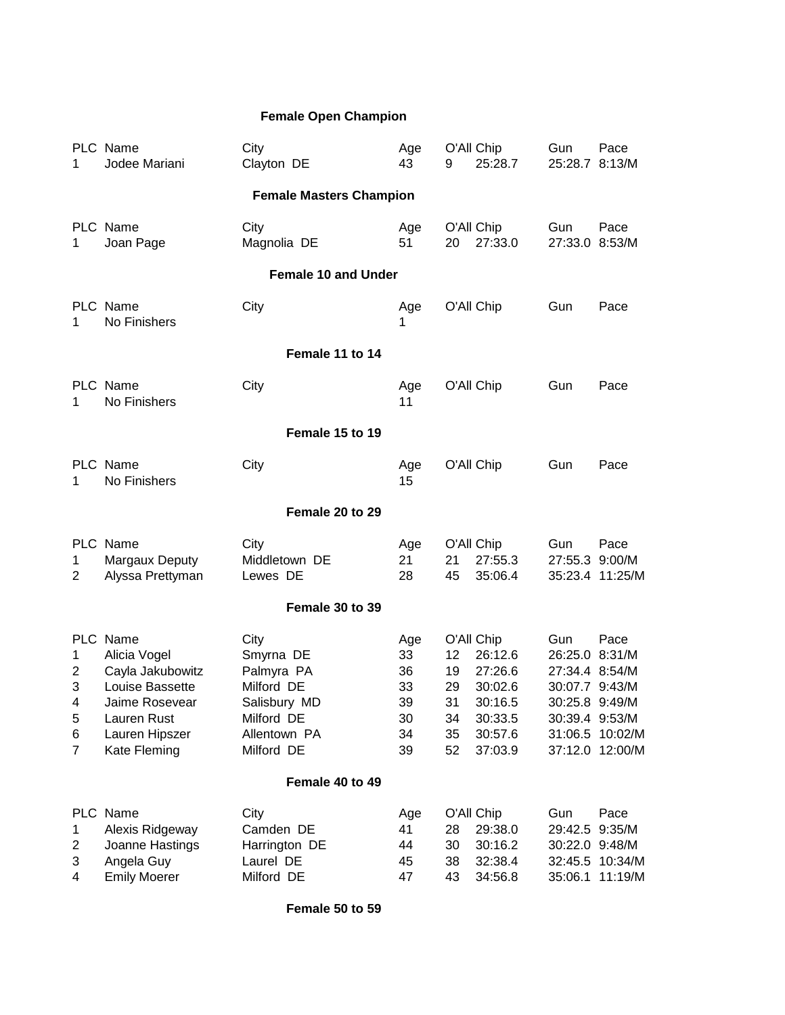## **Female Open Champion**

| 1                                            | PLC Name<br>Jodee Mariani                                                                                                          | City<br>Clayton DE                                                                                        | Age<br>43                                     | 9                                      | O'All Chip<br>25:28.7                                                                   | Gun<br>25:28.7                                                                         | Pace<br>8:13/M                                       |  |  |  |
|----------------------------------------------|------------------------------------------------------------------------------------------------------------------------------------|-----------------------------------------------------------------------------------------------------------|-----------------------------------------------|----------------------------------------|-----------------------------------------------------------------------------------------|----------------------------------------------------------------------------------------|------------------------------------------------------|--|--|--|
|                                              |                                                                                                                                    | <b>Female Masters Champion</b>                                                                            |                                               |                                        |                                                                                         |                                                                                        |                                                      |  |  |  |
| 1                                            | PLC Name<br>Joan Page                                                                                                              | City<br>Magnolia DE                                                                                       | Age<br>51                                     | 20                                     | O'All Chip<br>27:33.0                                                                   | Gun<br>27:33.0                                                                         | Pace<br>8:53/M                                       |  |  |  |
|                                              | <b>Female 10 and Under</b>                                                                                                         |                                                                                                           |                                               |                                        |                                                                                         |                                                                                        |                                                      |  |  |  |
| 1                                            | PLC Name<br>No Finishers                                                                                                           | City                                                                                                      | Age<br>1                                      |                                        | O'All Chip                                                                              | Gun                                                                                    | Pace                                                 |  |  |  |
|                                              |                                                                                                                                    | Female 11 to 14                                                                                           |                                               |                                        |                                                                                         |                                                                                        |                                                      |  |  |  |
| 1                                            | PLC Name<br>No Finishers                                                                                                           | City                                                                                                      | Age<br>11                                     |                                        | O'All Chip                                                                              | Gun                                                                                    | Pace                                                 |  |  |  |
|                                              | Female 15 to 19                                                                                                                    |                                                                                                           |                                               |                                        |                                                                                         |                                                                                        |                                                      |  |  |  |
| 1                                            | PLC Name<br>No Finishers                                                                                                           | City                                                                                                      | Age<br>15                                     |                                        | O'All Chip                                                                              | Gun                                                                                    | Pace                                                 |  |  |  |
|                                              |                                                                                                                                    | Female 20 to 29                                                                                           |                                               |                                        |                                                                                         |                                                                                        |                                                      |  |  |  |
| 1<br>2                                       | PLC Name<br>Margaux Deputy<br>Alyssa Prettyman                                                                                     | City<br>Middletown DE<br>Lewes DE                                                                         | Age<br>21<br>28                               | 21<br>45                               | O'All Chip<br>27:55.3<br>35:06.4                                                        | Gun<br>27:55.3 9:00/M                                                                  | Pace<br>35:23.4 11:25/M                              |  |  |  |
|                                              |                                                                                                                                    | Female 30 to 39                                                                                           |                                               |                                        |                                                                                         |                                                                                        |                                                      |  |  |  |
| 1<br>2<br>3<br>4<br>5<br>6<br>$\overline{7}$ | PLC Name<br>Alicia Vogel<br>Cayla Jakubowitz<br>Louise Bassette<br>Jaime Rosevear<br>Lauren Rust<br>Lauren Hipszer<br>Kate Fleming | City<br>Smyrna DE<br>Palmyra PA<br>Milford DE<br>Salisbury MD<br>Milford DE<br>Allentown PA<br>Milford DE | Age<br>33<br>36<br>33<br>39<br>30<br>34<br>39 | 12<br>19<br>29<br>31<br>34<br>35<br>52 | O'All Chip<br>26:12.6<br>27:26.6<br>30:02.6<br>30:16.5<br>30:33.5<br>30:57.6<br>37:03.9 | Gun<br>26:25.0<br>27:34.4 8:54/M<br>30:07.7 9:43/M<br>30:25.8 9:49/M<br>30:39.4 9:53/M | Pace<br>8:31/M<br>31:06.5 10:02/M<br>37:12.0 12:00/M |  |  |  |
|                                              | Female 40 to 49                                                                                                                    |                                                                                                           |                                               |                                        |                                                                                         |                                                                                        |                                                      |  |  |  |
| $\mathbf 1$<br>$\overline{c}$<br>3<br>4      | PLC Name<br>Alexis Ridgeway<br>Joanne Hastings<br>Angela Guy<br><b>Emily Moerer</b>                                                | City<br>Camden DE<br>Harrington DE<br>Laurel DE<br>Milford DE                                             | Age<br>41<br>44<br>45<br>47                   | 28<br>30<br>38<br>43                   | O'All Chip<br>29:38.0<br>30:16.2<br>32:38.4<br>34:56.8                                  | Gun<br>29:42.5<br>30:22.0 9:48/M<br>35:06.1                                            | Pace<br>9:35/M<br>32:45.5 10:34/M<br>11:19/M         |  |  |  |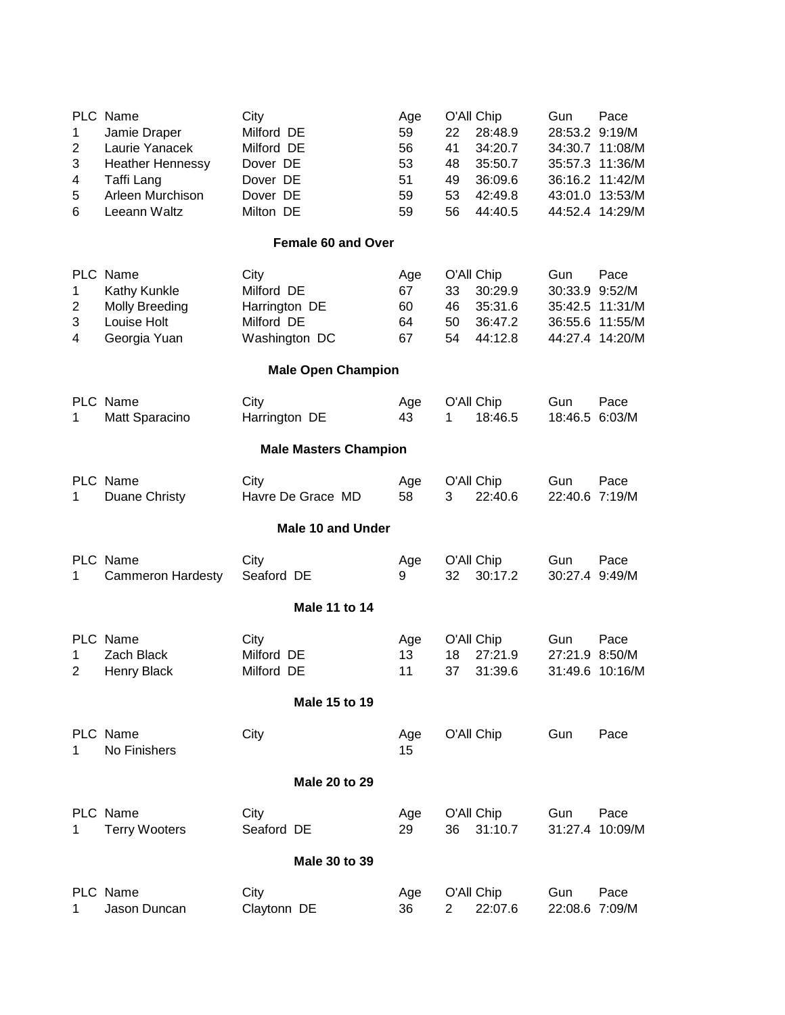| 1<br>2<br>3<br>4<br>5<br>6 | PLC Name<br>Jamie Draper<br>Laurie Yanacek<br><b>Heather Hennessy</b><br>Taffi Lang<br>Arleen Murchison<br>Leeann Waltz | City<br>Milford DE<br>Milford DE<br>Dover DE<br>Dover DE<br>Dover DE<br>Milton DE | Age<br>59<br>56<br>53<br>51<br>59<br>59 | 22<br>41<br>48<br>49<br>53<br>56 | O'All Chip<br>28:48.9<br>34:20.7<br>35:50.7<br>36:09.6<br>42:49.8<br>44:40.5 | Gun<br>28:53.2 9:19/M            | Pace<br>34:30.7 11:08/M<br>35:57.3 11:36/M<br>36:16.2 11:42/M<br>43:01.0 13:53/M<br>44:52.4 14:29/M |  |
|----------------------------|-------------------------------------------------------------------------------------------------------------------------|-----------------------------------------------------------------------------------|-----------------------------------------|----------------------------------|------------------------------------------------------------------------------|----------------------------------|-----------------------------------------------------------------------------------------------------|--|
|                            |                                                                                                                         | <b>Female 60 and Over</b>                                                         |                                         |                                  |                                                                              |                                  |                                                                                                     |  |
| 1<br>2<br>3<br>4           | PLC Name<br>Kathy Kunkle<br><b>Molly Breeding</b><br>Louise Holt<br>Georgia Yuan                                        | City<br>Milford DE<br>Harrington DE<br>Milford DE<br>Washington DC                | Age<br>67<br>60<br>64<br>67             | 33<br>46<br>50<br>54             | O'All Chip<br>30:29.9<br>35:31.6<br>36:47.2<br>44:12.8                       | Gun<br>30:33.9 9:52/M<br>36:55.6 | Pace<br>35:42.5 11:31/M<br>11:55/M<br>44:27.4 14:20/M                                               |  |
| <b>Male Open Champion</b>  |                                                                                                                         |                                                                                   |                                         |                                  |                                                                              |                                  |                                                                                                     |  |
| 1                          | PLC Name<br>Matt Sparacino                                                                                              | City<br>Harrington DE                                                             | Age<br>43                               | 1                                | O'All Chip<br>18:46.5                                                        | Gun<br>18:46.5 6:03/M            | Pace                                                                                                |  |
|                            |                                                                                                                         | <b>Male Masters Champion</b>                                                      |                                         |                                  |                                                                              |                                  |                                                                                                     |  |
| 1                          | PLC Name<br>Duane Christy                                                                                               | City<br>Havre De Grace MD                                                         | Age<br>58                               | 3                                | O'All Chip<br>22:40.6                                                        | Gun<br>22:40.6 7:19/M            | Pace                                                                                                |  |
|                            |                                                                                                                         | <b>Male 10 and Under</b>                                                          |                                         |                                  |                                                                              |                                  |                                                                                                     |  |
| 1                          | PLC Name<br><b>Cammeron Hardesty</b>                                                                                    | City<br>Seaford DE                                                                | Age<br>9                                | 32                               | O'All Chip<br>30:17.2                                                        | Gun<br>30:27.4 9:49/M            | Pace                                                                                                |  |
|                            |                                                                                                                         | Male 11 to 14                                                                     |                                         |                                  |                                                                              |                                  |                                                                                                     |  |
| 1<br>2                     | PLC Name<br><b>Zach Black</b><br><b>Henry Black</b>                                                                     | City<br>Milford DE<br>Milford DE                                                  | Age<br>13<br>11                         | 18<br>37                         | O'All Chip<br>27:21.9<br>31:39.6                                             | Gun<br>27:21.9 8:50/M            | Pace<br>31:49.6 10:16/M                                                                             |  |
|                            |                                                                                                                         | Male 15 to 19                                                                     |                                         |                                  |                                                                              |                                  |                                                                                                     |  |
| 1                          | PLC Name<br>No Finishers                                                                                                | City                                                                              | Age<br>15                               |                                  | O'All Chip                                                                   | Gun                              | Pace                                                                                                |  |
| Male 20 to 29              |                                                                                                                         |                                                                                   |                                         |                                  |                                                                              |                                  |                                                                                                     |  |
| 1                          | PLC Name<br><b>Terry Wooters</b>                                                                                        | City<br>Seaford DE                                                                | Age<br>29                               | 36                               | O'All Chip<br>31:10.7                                                        | Gun                              | Pace<br>31:27.4 10:09/M                                                                             |  |
|                            |                                                                                                                         | Male 30 to 39                                                                     |                                         |                                  |                                                                              |                                  |                                                                                                     |  |
| 1                          | PLC Name<br>Jason Duncan                                                                                                | City<br>Claytonn DE                                                               | Age<br>36                               | $\overline{2}$                   | O'All Chip<br>22:07.6                                                        | Gun<br>22:08.6 7:09/M            | Pace                                                                                                |  |